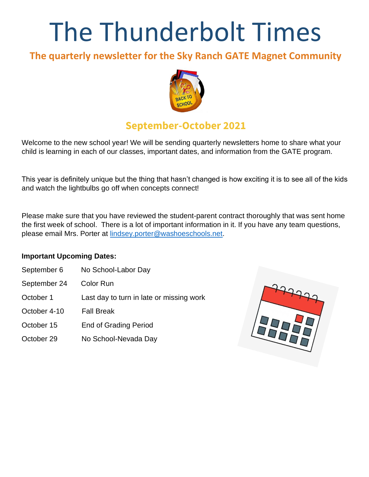# The Thunderbolt Times

# **The quarterly newsletter for the Sky Ranch GATE Magnet Community**



# **September-October 2021**

Welcome to the new school year! We will be sending quarterly newsletters home to share what your child is learning in each of our classes, important dates, and information from the GATE program.

This year is definitely unique but the thing that hasn't changed is how exciting it is to see all of the kids and watch the lightbulbs go off when concepts connect!

Please make sure that you have reviewed the student-parent contract thoroughly that was sent home the first week of school. There is a lot of important information in it. If you have any team questions, please email Mrs. Porter at [lindsey.porter@washoeschools.net.](mailto:lindsey.porter@washoeschools.net)

#### **Important Upcoming Dates:**

- September 6 No School-Labor Day
- September 24 Color Run
- October 1 Last day to turn in late or missing work
- October 4-10 Fall Break
- October 15 End of Grading Period
- October 29 No School-Nevada Day

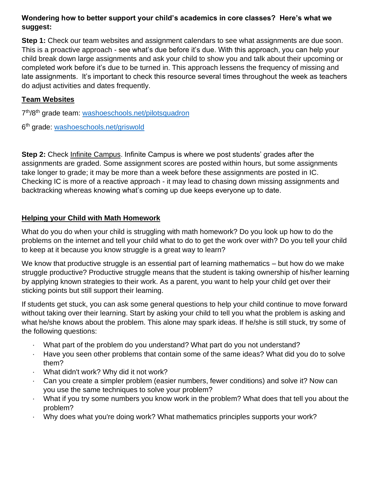# **Wondering how to better support your child's academics in core classes? Here's what we suggest:**

**Step 1:** Check our team websites and assignment calendars to see what assignments are due soon. This is a proactive approach - see what's due before it's due. With this approach, you can help your child break down large assignments and ask your child to show you and talk about their upcoming or completed work before it's due to be turned in. This approach lessens the frequency of missing and late assignments. It's important to check this resource several times throughout the week as teachers do adjust activities and dates frequently.

## **Team Websites**

7<sup>th</sup>/8<sup>th</sup> grade team: [washoeschools.net/pilotsquadron](http://washoeschools.net/pilotsquadron)

6<sup>th</sup> grade: [washoeschools.net/griswold](http://washoeschools.net/griswold)

**Step 2:** Check [Infinite Campus.](https://www.washoeschools.net/site/Default.aspx?PageType=1&SiteID=4&ChannelID=57&DirectoryType=6) Infinite Campus is where we post students' grades after the assignments are graded. Some assignment scores are posted within hours, but some assignments take longer to grade; it may be more than a week before these assignments are posted in IC. Checking IC is more of a reactive approach - it may lead to chasing down missing assignments and backtracking whereas knowing what's coming up due keeps everyone up to date.

#### **Helping your Child with Math Homework**

What do you do when your child is struggling with math homework? Do you look up how to do the problems on the internet and tell your child what to do to get the work over with? Do you tell your child to keep at it because you know struggle is a great way to learn?

We know that productive struggle is an essential part of learning mathematics – but how do we make struggle productive? Productive struggle means that the student is taking ownership of his/her learning by applying known strategies to their work. As a parent, you want to help your child get over their sticking points but still support their learning.

If students get stuck, you can ask some general questions to help your child continue to move forward without taking over their learning. Start by asking your child to tell you what the problem is asking and what he/she knows about the problem. This alone may spark ideas. If he/she is still stuck, try some of the following questions:

- · What part of the problem do you understand? What part do you not understand?
- · Have you seen other problems that contain some of the same ideas? What did you do to solve them?
- · What didn't work? Why did it not work?
- · Can you create a simpler problem (easier numbers, fewer conditions) and solve it? Now can you use the same techniques to solve your problem?
- · What if you try some numbers you know work in the problem? What does that tell you about the problem?
- Why does what you're doing work? What mathematics principles supports your work?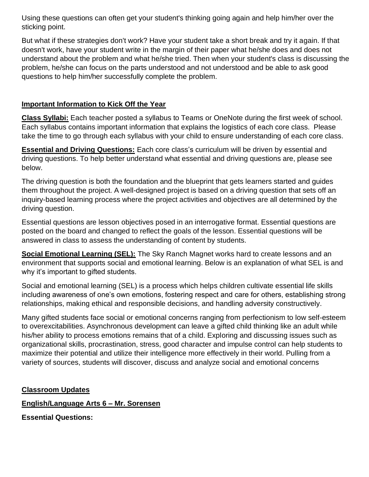Using these questions can often get your student's thinking going again and help him/her over the sticking point.

But what if these strategies don't work? Have your student take a short break and try it again. If that doesn't work, have your student write in the margin of their paper what he/she does and does not understand about the problem and what he/she tried. Then when your student's class is discussing the problem, he/she can focus on the parts understood and not understood and be able to ask good questions to help him/her successfully complete the problem.

#### **Important Information to Kick Off the Year**

**Class Syllabi:** Each teacher posted a syllabus to Teams or OneNote during the first week of school. Each syllabus contains important information that explains the logistics of each core class. Please take the time to go through each syllabus with your child to ensure understanding of each core class.

**Essential and Driving Questions:** Each core class's curriculum will be driven by essential and driving questions. To help better understand what essential and driving questions are, please see below.

The driving question is both the foundation and the blueprint that gets learners started and guides them throughout the project. A well-designed project is based on a driving question that sets off an inquiry-based learning process where the project activities and objectives are all determined by the driving question.

Essential questions are lesson objectives posed in an interrogative format. Essential questions are posted on the board and changed to reflect the goals of the lesson. Essential questions will be answered in class to assess the understanding of content by students.

**Social Emotional Learning (SEL):** The Sky Ranch Magnet works hard to create lessons and an environment that supports social and emotional learning. Below is an explanation of what SEL is and why it's important to gifted students.

Social and emotional learning (SEL) is a process which helps children cultivate essential life skills including awareness of one's own emotions, fostering respect and care for others, establishing strong relationships, making ethical and responsible decisions, and handling adversity constructively.

Many gifted students face social or emotional concerns ranging from perfectionism to low self-esteem to overexcitabilities. Asynchronous development can leave a gifted child thinking like an adult while his/her ability to process emotions remains that of a child. Exploring and discussing issues such as organizational skills, procrastination, stress, good character and impulse control can help students to maximize their potential and utilize their intelligence more effectively in their world. Pulling from a variety of sources, students will discover, discuss and analyze social and emotional concerns

#### **Classroom Updates**

#### **English/Language Arts 6 – Mr. Sorensen**

**Essential Questions:**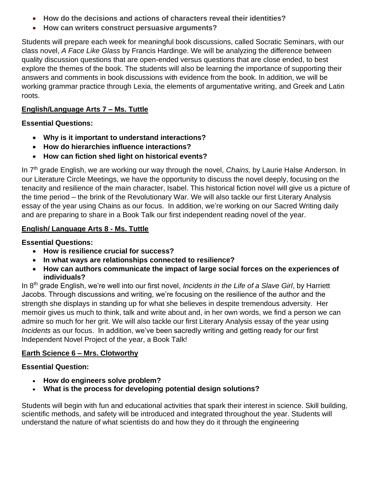- **How do the decisions and actions of characters reveal their identities?**
- **How can writers construct persuasive arguments?**

Students will prepare each week for meaningful book discussions, called Socratic Seminars, with our class novel, *A Face Like Glass* by Francis Hardinge. We will be analyzing the difference between quality discussion questions that are open-ended versus questions that are close ended, to best explore the themes of the book. The students will also be learning the importance of supporting their answers and comments in book discussions with evidence from the book. In addition, we will be working grammar practice through Lexia, the elements of argumentative writing, and Greek and Latin roots.

# **English/Language Arts 7 – Ms. Tuttle**

# **Essential Questions:**

- **Why is it important to understand interactions?**
- **How do hierarchies influence interactions?**
- **How can fiction shed light on historical events?**

In 7th grade English, we are working our way through the novel, *Chains,* by Laurie Halse Anderson. In our Literature Circle Meetings, we have the opportunity to discuss the novel deeply, focusing on the tenacity and resilience of the main character, Isabel. This historical fiction novel will give us a picture of the time period – the brink of the Revolutionary War. We will also tackle our first Literary Analysis essay of the year using Chains as our focus. In addition, we're working on our Sacred Writing daily and are preparing to share in a Book Talk our first independent reading novel of the year.

# **English/ Language Arts 8 - Ms. Tuttle**

# **Essential Questions:**

- **How is resilience crucial for success?**
- **In what ways are relationships connected to resilience?**
- **How can authors communicate the impact of large social forces on the experiences of individuals?**

In 8th grade English, we're well into our first novel, *Incidents in the Life of a Slave Girl*, by Harriett Jacobs. Through discussions and writing, we're focusing on the resilience of the author and the strength she displays in standing up for what she believes in despite tremendous adversity. Her memoir gives us much to think, talk and write about and, in her own words, we find a person we can admire so much for her grit. We will also tackle our first Literary Analysis essay of the year using *Incidents* as our focus. In addition, we've been sacredly writing and getting ready for our first Independent Novel Project of the year, a Book Talk!

# **Earth Science 6 – Mrs. Clotworthy**

# **Essential Question:**

- **How do engineers solve problem?**
- **What is the process for developing potential design solutions?**

Students will begin with fun and educational activities that spark their interest in science. Skill building, scientific methods, and safety will be introduced and integrated throughout the year. Students will understand the nature of what scientists do and how they do it through the engineering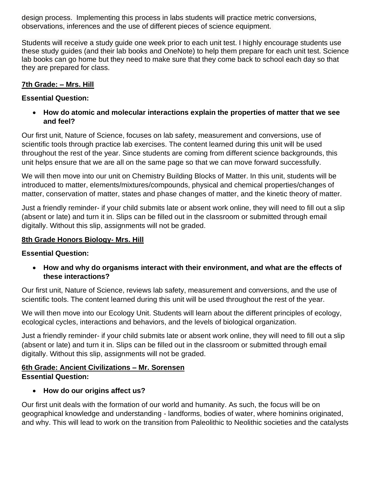design process. Implementing this process in labs students will practice metric conversions, observations, inferences and the use of different pieces of science equipment.

Students will receive a study guide one week prior to each unit test. I highly encourage students use these study guides (and their lab books and OneNote) to help them prepare for each unit test. Science lab books can go home but they need to make sure that they come back to school each day so that they are prepared for class.

#### **7th Grade: – Mrs. Hill**

#### **Essential Question:**

• **How do atomic and molecular interactions explain the properties of matter that we see and feel?**

Our first unit, Nature of Science, focuses on lab safety, measurement and conversions, use of scientific tools through practice lab exercises. The content learned during this unit will be used throughout the rest of the year. Since students are coming from different science backgrounds, this unit helps ensure that we are all on the same page so that we can move forward successfully.

We will then move into our unit on Chemistry Building Blocks of Matter. In this unit, students will be introduced to matter, elements/mixtures/compounds, physical and chemical properties/changes of matter, conservation of matter, states and phase changes of matter, and the kinetic theory of matter.

Just a friendly reminder- if your child submits late or absent work online, they will need to fill out a slip (absent or late) and turn it in. Slips can be filled out in the classroom or submitted through email digitally. Without this slip, assignments will not be graded.

#### **8th Grade Honors Biology- Mrs. Hill**

# **Essential Question:**

• **How and why do organisms interact with their environment, and what are the effects of these interactions?** 

Our first unit, Nature of Science, reviews lab safety, measurement and conversions, and the use of scientific tools. The content learned during this unit will be used throughout the rest of the year.

We will then move into our Ecology Unit. Students will learn about the different principles of ecology, ecological cycles, interactions and behaviors, and the levels of biological organization.

Just a friendly reminder- if your child submits late or absent work online, they will need to fill out a slip (absent or late) and turn it in. Slips can be filled out in the classroom or submitted through email digitally. Without this slip, assignments will not be graded.

#### **6th Grade: Ancient Civilizations – Mr. Sorensen Essential Question:**

# • **How do our origins affect us?**

Our first unit deals with the formation of our world and humanity. As such, the focus will be on geographical knowledge and understanding - landforms, bodies of water, where hominins originated, and why. This will lead to work on the transition from Paleolithic to Neolithic societies and the catalysts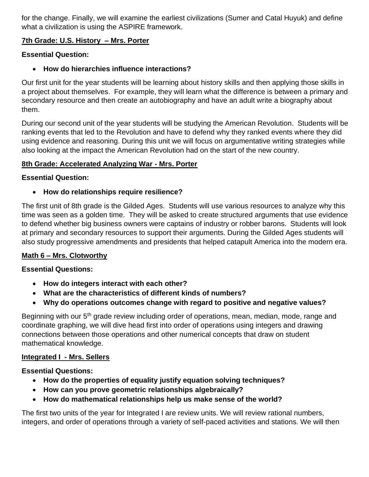for the change. Finally, we will examine the earliest civilizations (Sumer and Catal Huyuk) and define what a civilization is using the ASPIRE framework.

#### **7th Grade: U.S. History – Mrs. Porter**

#### **Essential Question:**

• **How do hierarchies influence interactions?**

Our first unit for the year students will be learning about history skills and then applying those skills in a project about themselves. For example, they will learn what the difference is between a primary and secondary resource and then create an autobiography and have an adult write a biography about them.

During our second unit of the year students will be studying the American Revolution. Students will be ranking events that led to the Revolution and have to defend why they ranked events where they did using evidence and reasoning. During this unit we will focus on argumentative writing strategies while also looking at the impact the American Revolution had on the start of the new country.

#### **8th Grade: Accelerated Analyzing War - Mrs. Porter**

#### **Essential Question:**

# • **How do relationships require resilience?**

The first unit of 8th grade is the Gilded Ages. Students will use various resources to analyze why this time was seen as a golden time. They will be asked to create structured arguments that use evidence to defend whether big business owners were captains of industry or robber barons. Students will look at primary and secondary resources to support their arguments. During the Gilded Ages students will also study progressive amendments and presidents that helped catapult America into the modern era.

# **Math 6 – Mrs. Clotworthy**

#### **Essential Questions:**

- **How do integers interact with each other?**
- **What are the characteristics of different kinds of numbers?**
- **Why do operations outcomes change with regard to positive and negative values?**

Beginning with our 5<sup>th</sup> grade review including order of operations, mean, median, mode, range and coordinate graphing, we will dive head first into order of operations using integers and drawing connections between those operations and other numerical concepts that draw on student mathematical knowledge.

# **Integrated I - Mrs. Sellers**

#### **Essential Questions:**

- **How do the properties of equality justify equation solving techniques?**
- **How can you prove geometric relationships algebraically?**
- **How do mathematical relationships help us make sense of the world?**

The first two units of the year for Integrated I are review units. We will review rational numbers, integers, and order of operations through a variety of self-paced activities and stations. We will then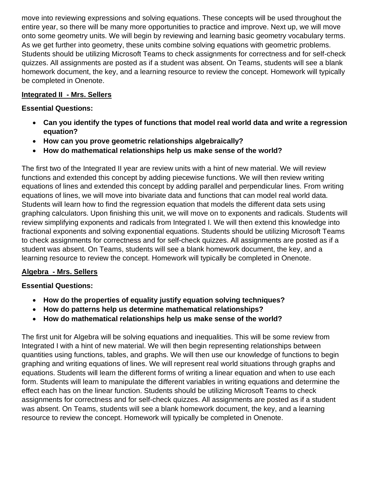move into reviewing expressions and solving equations. These concepts will be used throughout the entire year, so there will be many more opportunities to practice and improve. Next up, we will move onto some geometry units. We will begin by reviewing and learning basic geometry vocabulary terms. As we get further into geometry, these units combine solving equations with geometric problems. Students should be utilizing Microsoft Teams to check assignments for correctness and for self-check quizzes. All assignments are posted as if a student was absent. On Teams, students will see a blank homework document, the key, and a learning resource to review the concept. Homework will typically be completed in Onenote.

#### **Integrated II - Mrs. Sellers**

#### **Essential Questions:**

- **Can you identify the types of functions that model real world data and write a regression equation?**
- **How can you prove geometric relationships algebraically?**
- **How do mathematical relationships help us make sense of the world?**

The first two of the Integrated II year are review units with a hint of new material. We will review functions and extended this concept by adding piecewise functions. We will then review writing equations of lines and extended this concept by adding parallel and perpendicular lines. From writing equations of lines, we will move into bivariate data and functions that can model real world data. Students will learn how to find the regression equation that models the different data sets using graphing calculators. Upon finishing this unit, we will move on to exponents and radicals. Students will review simplifying exponents and radicals from Integrated I. We will then extend this knowledge into fractional exponents and solving exponential equations. Students should be utilizing Microsoft Teams to check assignments for correctness and for self-check quizzes. All assignments are posted as if a student was absent. On Teams, students will see a blank homework document, the key, and a learning resource to review the concept. Homework will typically be completed in Onenote.

#### **Algebra - Mrs. Sellers**

#### **Essential Questions:**

- **How do the properties of equality justify equation solving techniques?**
- **How do patterns help us determine mathematical relationships?**
- **How do mathematical relationships help us make sense of the world?**

The first unit for Algebra will be solving equations and inequalities. This will be some review from Integrated I with a hint of new material. We will then begin representing relationships between quantities using functions, tables, and graphs. We will then use our knowledge of functions to begin graphing and writing equations of lines. We will represent real world situations through graphs and equations. Students will learn the different forms of writing a linear equation and when to use each form. Students will learn to manipulate the different variables in writing equations and determine the effect each has on the linear function. Students should be utilizing Microsoft Teams to check assignments for correctness and for self-check quizzes. All assignments are posted as if a student was absent. On Teams, students will see a blank homework document, the key, and a learning resource to review the concept. Homework will typically be completed in Onenote.